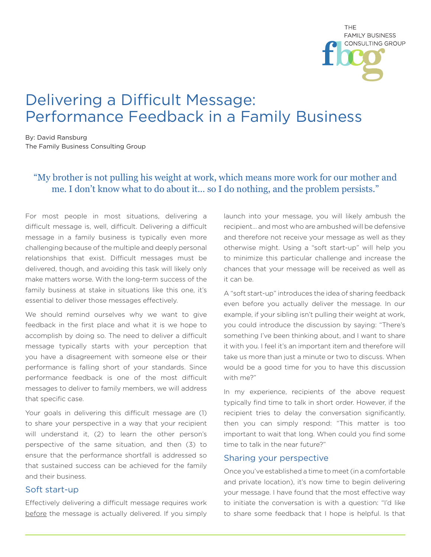

# Delivering a Difficult Message: Performance Feedback in a Family Business

By: David Ransburg The Family Business Consulting Group

# "My brother is not pulling his weight at work, which means more work for our mother and me. I don't know what to do about it… so I do nothing, and the problem persists."

For most people in most situations, delivering a difficult message is, well, difficult. Delivering a difficult message in a family business is typically even more challenging because of the multiple and deeply personal relationships that exist. Difficult messages must be delivered, though, and avoiding this task will likely only make matters worse. With the long-term success of the family business at stake in situations like this one, it's essential to deliver those messages effectively.

We should remind ourselves why we want to give feedback in the first place and what it is we hope to accomplish by doing so. The need to deliver a difficult message typically starts with your perception that you have a disagreement with someone else or their performance is falling short of your standards. Since performance feedback is one of the most difficult messages to deliver to family members, we will address that specific case.

Your goals in delivering this difficult message are (1) to share your perspective in a way that your recipient will understand it, (2) to learn the other person's perspective of the same situation, and then (3) to ensure that the performance shortfall is addressed so that sustained success can be achieved for the family and their business.

#### Soft start-up

Effectively delivering a difficult message requires work before the message is actually delivered. If you simply launch into your message, you will likely ambush the recipient… and most who are ambushed will be defensive and therefore not receive your message as well as they otherwise might. Using a "soft start-up" will help you to minimize this particular challenge and increase the chances that your message will be received as well as it can be.

A "soft start-up" introduces the idea of sharing feedback even before you actually deliver the message. In our example, if your sibling isn't pulling their weight at work, you could introduce the discussion by saying: "There's something I've been thinking about, and I want to share it with you. I feel it's an important item and therefore will take us more than just a minute or two to discuss. When would be a good time for you to have this discussion with me?"

In my experience, recipients of the above request typically find time to talk in short order. However, if the recipient tries to delay the conversation significantly, then you can simply respond: "This matter is too important to wait that long. When could you find some time to talk in the near future?"

#### Sharing your perspective

Once you've established a time to meet (in a comfortable and private location), it's now time to begin delivering your message. I have found that the most effective way to initiate the conversation is with a question: "I'd like to share some feedback that I hope is helpful. Is that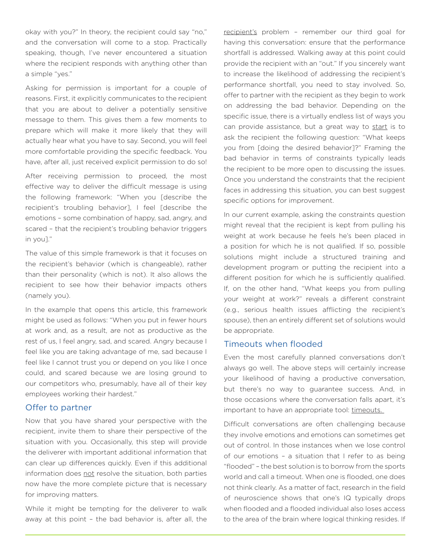okay with you?" In theory, the recipient could say "no," and the conversation will come to a stop. Practically speaking, though, I've never encountered a situation where the recipient responds with anything other than a simple "yes."

Asking for permission is important for a couple of reasons. First, it explicitly communicates to the recipient that you are about to deliver a potentially sensitive message to them. This gives them a few moments to prepare which will make it more likely that they will actually hear what you have to say. Second, you will feel more comfortable providing the specific feedback. You have, after all, just received explicit permission to do so!

After receiving permission to proceed, the most effective way to deliver the difficult message is using the following framework: "When you [describe the recipient's troubling behavior], I feel [describe the emotions – some combination of happy, sad, angry, and scared – that the recipient's troubling behavior triggers in you]."

The value of this simple framework is that it focuses on the recipient's behavior (which is changeable), rather than their personality (which is not). It also allows the recipient to see how their behavior impacts others (namely you).

In the example that opens this article, this framework might be used as follows: "When you put in fewer hours at work and, as a result, are not as productive as the rest of us, I feel angry, sad, and scared. Angry because I feel like you are taking advantage of me, sad because I feel like I cannot trust you or depend on you like I once could, and scared because we are losing ground to our competitors who, presumably, have all of their key employees working their hardest."

# Offer to partner

Now that you have shared your perspective with the recipient, invite them to share their perspective of the situation with you. Occasionally, this step will provide the deliverer with important additional information that can clear up differences quickly. Even if this additional information does not resolve the situation, both parties now have the more complete picture that is necessary for improving matters.

While it might be tempting for the deliverer to walk away at this point – the bad behavior is, after all, the

recipient's problem – remember our third goal for having this conversation: ensure that the performance shortfall is addressed. Walking away at this point could provide the recipient with an "out." If you sincerely want to increase the likelihood of addressing the recipient's performance shortfall, you need to stay involved. So, offer to partner with the recipient as they begin to work on addressing the bad behavior. Depending on the specific issue, there is a virtually endless list of ways you can provide assistance, but a great way to start is to ask the recipient the following question: "What keeps you from [doing the desired behavior]?" Framing the bad behavior in terms of constraints typically leads the recipient to be more open to discussing the issues. Once you understand the constraints that the recipient faces in addressing this situation, you can best suggest specific options for improvement.

In our current example, asking the constraints question might reveal that the recipient is kept from pulling his weight at work because he feels he's been placed in a position for which he is not qualified. If so, possible solutions might include a structured training and development program or putting the recipient into a different position for which he is sufficiently qualified. If, on the other hand, "What keeps you from pulling your weight at work?" reveals a different constraint (e.g., serious health issues afflicting the recipient's spouse), then an entirely different set of solutions would be appropriate.

# Timeouts when flooded

Even the most carefully planned conversations don't always go well. The above steps will certainly increase your likelihood of having a productive conversation, but there's no way to guarantee success. And, in those occasions where the conversation falls apart, it's important to have an appropriate tool: timeouts.

Difficult conversations are often challenging because they involve emotions and emotions can sometimes get out of control. In those instances when we lose control of our emotions – a situation that I refer to as being "flooded" – the best solution is to borrow from the sports world and call a timeout. When one is flooded, one does not think clearly. As a matter of fact, research in the field of neuroscience shows that one's IQ typically drops when flooded and a flooded individual also loses access to the area of the brain where logical thinking resides. If